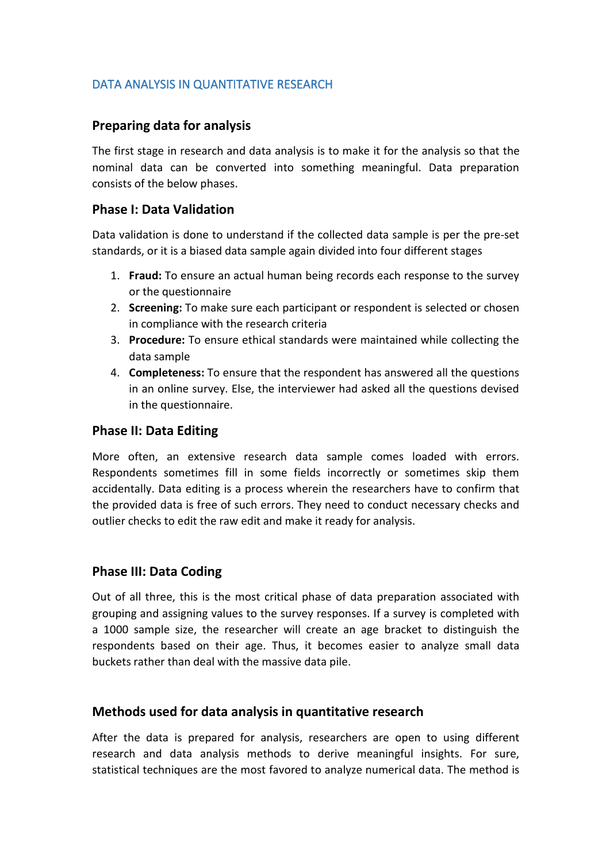# DATA ANALYSIS IN QUANTITATIVE RESEARCH

# **Preparing data for analysis**

The first stage in research and data analysis is to make it for the analysis so that the nominal data can be converted into something meaningful. Data preparation consists of the below phases.

## **Phase I: Data Validation**

Data validation is done to understand if the collected data sample is per the pre-set standards, or it is a biased data sample again divided into four different stages

- 1. **Fraud:** To ensure an actual human being records each response to the survey or the questionnaire
- 2. **Screening:** To make sure each participant or respondent is selected or chosen in compliance with the research criteria
- 3. **Procedure:** To ensure ethical standards were maintained while collecting the data sample
- 4. **Completeness:** To ensure that the respondent has answered all the questions in an online survey. Else, the interviewer had asked all the questions devised in the questionnaire.

### **Phase II: Data Editing**

More often, an extensive research data sample comes loaded with errors. Respondents sometimes fill in some fields incorrectly or sometimes skip them accidentally. Data editing is a process wherein the researchers have to confirm that the provided data is free of such errors. They need to conduct necessary checks and outlier checks to edit the raw edit andmake it ready for analysis.

#### **Phase III: Data Coding**

Out of all three, this is the most critical phase of data preparation associated with grouping and assigning values to the survey responses. If a survey is completed with a 1000 sample size, the researcher will create an age bracket to distinguish the respondents based on their age. Thus, it becomes easier to analyze small data buckets rather than deal with the massive data pile.

## **Methods used for data analysis in quantitative research**

After the data is prepared for analysis, researchers are open to using different research and data analysis methods to derive meaningful insights. For sure, statistical techniques are the most favored to analyze numerical data. The method is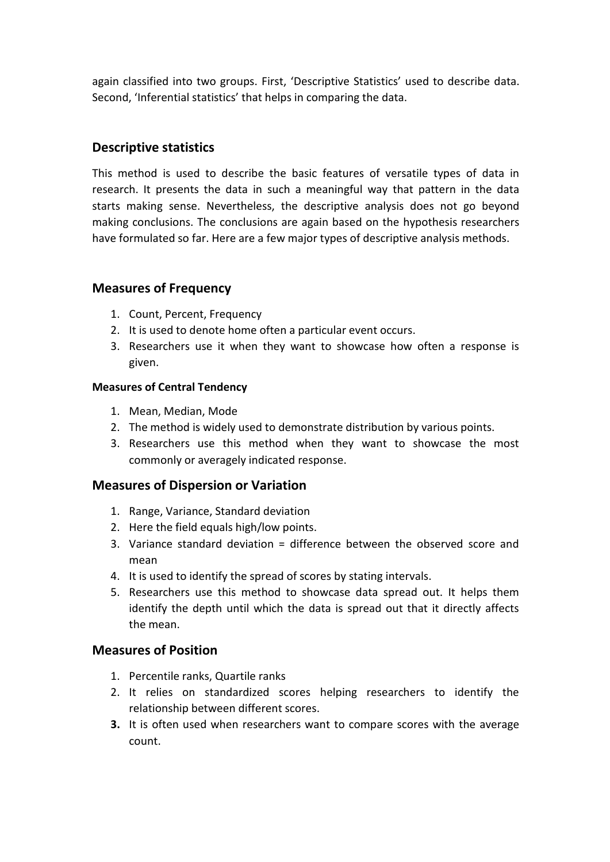again classified into two groups. First, 'Descriptive Statistics' used to describe data. Second, 'Inferential statistics' that helps in comparing the data.

## **Descriptive statistics**

This method is used to describe the basic features of versatile types of data in research. It presents the data in such ameaningful way that pattern in the data starts making sense. Nevertheless, the descriptive analysis does not go beyond making conclusions. The conclusions are again based on the hypothesis researchers have formulated so far. Here are a few major types of descriptive analysis methods.

### **Measures of Frequency**

- 1. Count, Percent, Frequency
- 2. It is used to denote home often a particular event occurs.
- 3. Researchers use it when they want to showcase how often a response is given.

#### **Measures of Central Tendency**

- 1. Mean, Median, Mode
- 2. The method is widely used to demonstrate distribution by various points.
- 3. Researchers use this method when they want to showcase the most commonly or averagely indicated response.

#### **Measures of Dispersion or Variation**

- 1. Range, Variance, Standard deviation
- 2. Here the field equals high/low points.
- 3. Variance standard deviation = difference between the observed score and mean
- 4. It is used to identify the spread of scores by stating intervals.
- 5. Researchers use this method to showcase data spread out. It helps them identify the depth until which the data is spread out that it directly affects the mean.

#### **Measures of Position**

- 1. Percentile ranks, Quartile ranks
- 2. It relies on standardized scores helping researchers to identify the relationship between different scores.
- **3.** It is often used when researchers want to compare scores with the average count.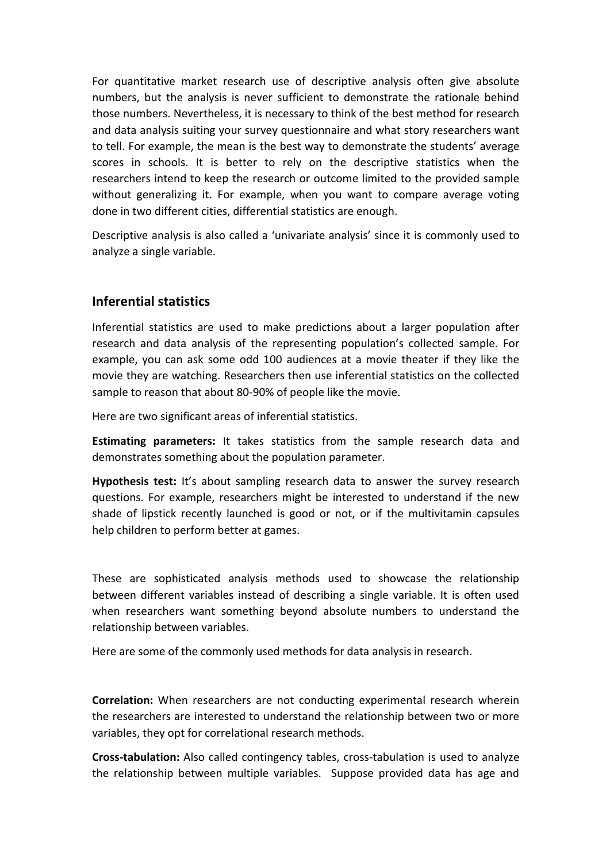For quantitative market research use of descriptive analysis often give absolute numbers, but the analysis is never sufficient to demonstrate the rationale behind those numbers. Nevertheless, it is necessary to think of the best method for research and data analysis suiting your survey questionnaire and what story researchers want to tell. For example, the mean is the best way to demonstrate the students' average scores in schools. It is better to rely on the descriptive statistics when the researchers intend to keep the research or outcome limited to the provided sample without generalizing it. For example, when you want to compare average voting done in two different cities, differential statistics are enough.

Descriptive analysis is also called a 'univariate analysis' since it is commonly used to analyze a single variable.

# **Inferential statistics**

Inferential statistics are used to make predictions about a larger population after research and data analysis of the representing population's collected sample. For example, you can ask some odd 100 audiences at a movie theater if they like the movie they are watching. Researchers then use inferential statistics on the collected sample to reason that about 80-90% of people like the movie.

Here are two significant areas of inferential statistics.

**Estimating parameters:** It takes statistics from the sample research data and demonstrates something about the population parameter.

**Hypothesis test:** It's about sampling research data to answer the survey research questions. For example, researchers might be interested to understand if the new shade of lipstick recently launched is good or not, or if the multivitamin capsules help children to perform better at games.

These are sophisticated analysis methods used to showcase the relationship between different variables instead of describing a single variable. It is often used when researchers want something beyond absolute numbers to understand the relationship between variables.

Here are some of the commonly used methods for data analysis in research.

**Correlation:** When researchers are not conducting experimental research wherein the researchers are interested to understand the relationship between two or more variables, they opt for correlational research methods.

**Cross-tabulation:** Also called contingency tables, cross-tabulation is used to analyze the relationship between multiple variables. Suppose provided data has age and